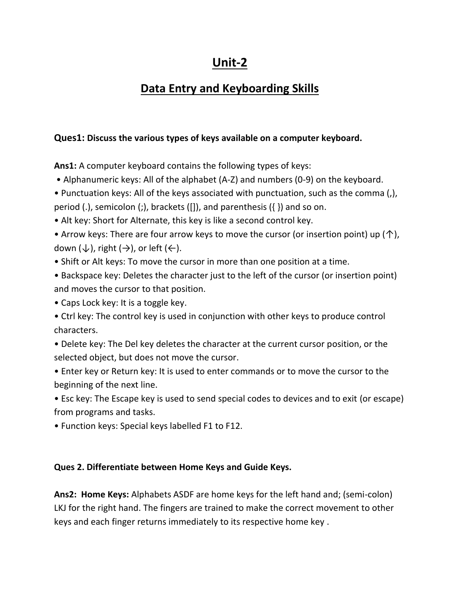# **Unit-2**

# **Data Entry and Keyboarding Skills**

### **Ques1: Discuss the various types of keys available on a computer keyboard.**

**Ans1:** A computer keyboard contains the following types of keys:

• Alphanumeric keys: All of the alphabet (A-Z) and numbers (0-9) on the keyboard.

• Punctuation keys: All of the keys associated with punctuation, such as the comma (,), period (.), semicolon (;), brackets ([]), and parenthesis ( $\{ \}$ ) and so on.

- Alt key: Short for Alternate, this key is like a second control key.
- Arrow keys: There are four arrow keys to move the cursor (or insertion point) up ( $\uparrow$ ), down  $(\downarrow)$ , right  $(\rightarrow)$ , or left  $(\leftarrow)$ .
- Shift or Alt keys: To move the cursor in more than one position at a time.
- Backspace key: Deletes the character just to the left of the cursor (or insertion point) and moves the cursor to that position.
- Caps Lock key: It is a toggle key.
- Ctrl key: The control key is used in conjunction with other keys to produce control characters.
- Delete key: The Del key deletes the character at the current cursor position, or the selected object, but does not move the cursor.
- Enter key or Return key: It is used to enter commands or to move the cursor to the beginning of the next line.

• Esc key: The Escape key is used to send special codes to devices and to exit (or escape) from programs and tasks.

• Function keys: Special keys labelled F1 to F12.

#### **Ques 2. Differentiate between Home Keys and Guide Keys.**

**Ans2: Home Keys:** Alphabets ASDF are home keys for the left hand and; (semi-colon) LKJ for the right hand. The fingers are trained to make the correct movement to other keys and each finger returns immediately to its respective home key .